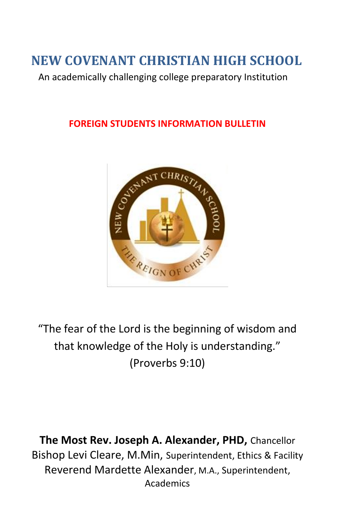# **NEW COVENANT CHRISTIAN HIGH SCHOOL**

An academically challenging college preparatory Institution

#### **FOREIGN STUDENTS INFORMATION BULLETIN**



"The fear of the Lord is the beginning of wisdom and that knowledge of the Holy is understanding." (Proverbs 9:10)

**The Most Rev. Joseph A. Alexander, PHD,** Chancellor Bishop Levi Cleare, M.Min, Superintendent, Ethics & Facility Reverend Mardette Alexander, M.A., Superintendent, Academics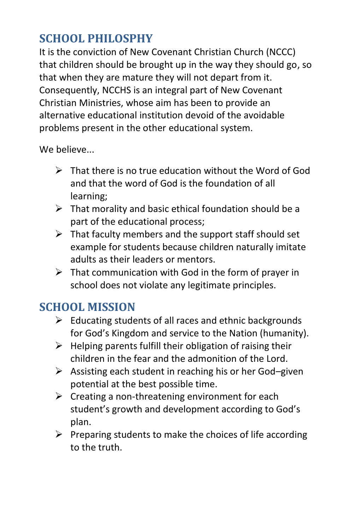## **SCHOOL PHILOSPHY**

It is the conviction of New Covenant Christian Church (NCCC) that children should be brought up in the way they should go, so that when they are mature they will not depart from it. Consequently, NCCHS is an integral part of New Covenant Christian Ministries, whose aim has been to provide an alternative educational institution devoid of the avoidable problems present in the other educational system.

We believe...

- $\triangleright$  That there is no true education without the Word of God and that the word of God is the foundation of all learning;
- $\triangleright$  That morality and basic ethical foundation should be a part of the educational process;
- $\triangleright$  That faculty members and the support staff should set example for students because children naturally imitate adults as their leaders or mentors.
- $\triangleright$  That communication with God in the form of prayer in school does not violate any legitimate principles.

# **SCHOOL MISSION**

- $\triangleright$  Educating students of all races and ethnic backgrounds for God's Kingdom and service to the Nation (humanity).
- $\triangleright$  Helping parents fulfill their obligation of raising their children in the fear and the admonition of the Lord.
- $\triangleright$  Assisting each student in reaching his or her God–given potential at the best possible time.
- $\triangleright$  Creating a non-threatening environment for each student's growth and development according to God's plan.
- $\triangleright$  Preparing students to make the choices of life according to the truth.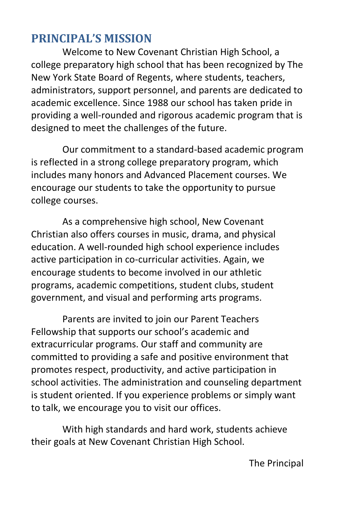### **PRINCIPAL'S MISSION**

Welcome to New Covenant Christian High School, a college preparatory high school that has been recognized by The New York State Board of Regents, where students, teachers, administrators, support personnel, and parents are dedicated to academic excellence. Since 1988 our school has taken pride in providing a well-rounded and rigorous academic program that is designed to meet the challenges of the future.

Our commitment to a standard-based academic program is reflected in a strong college preparatory program, which includes many honors and Advanced Placement courses. We encourage our students to take the opportunity to pursue college courses.

As a comprehensive high school, New Covenant Christian also offers courses in music, drama, and physical education. A well-rounded high school experience includes active participation in co-curricular activities. Again, we encourage students to become involved in our athletic programs, academic competitions, student clubs, student government, and visual and performing arts programs.

Parents are invited to join our Parent Teachers Fellowship that supports our school's academic and extracurricular programs. Our staff and community are committed to providing a safe and positive environment that promotes respect, productivity, and active participation in school activities. The administration and counseling department is student oriented. If you experience problems or simply want to talk, we encourage you to visit our offices.

With high standards and hard work, students achieve their goals at New Covenant Christian High School.

The Principal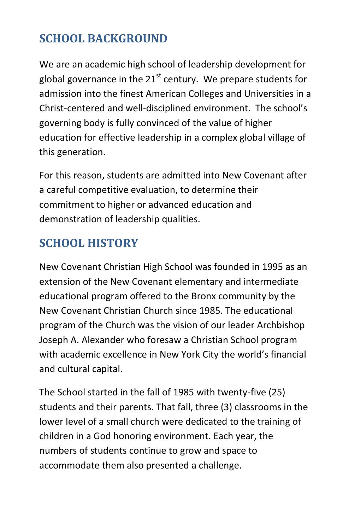# **SCHOOL BACKGROUND**

We are an academic high school of leadership development for global governance in the  $21<sup>st</sup>$  century. We prepare students for admission into the finest American Colleges and Universities in a Christ-centered and well-disciplined environment. The school's governing body is fully convinced of the value of higher education for effective leadership in a complex global village of this generation.

For this reason, students are admitted into New Covenant after a careful competitive evaluation, to determine their commitment to higher or advanced education and demonstration of leadership qualities.

# **SCHOOL HISTORY**

New Covenant Christian High School was founded in 1995 as an extension of the New Covenant elementary and intermediate educational program offered to the Bronx community by the New Covenant Christian Church since 1985. The educational program of the Church was the vision of our leader Archbishop Joseph A. Alexander who foresaw a Christian School program with academic excellence in New York City the world's financial and cultural capital.

The School started in the fall of 1985 with twenty-five (25) students and their parents. That fall, three (3) classrooms in the lower level of a small church were dedicated to the training of children in a God honoring environment. Each year, the numbers of students continue to grow and space to accommodate them also presented a challenge.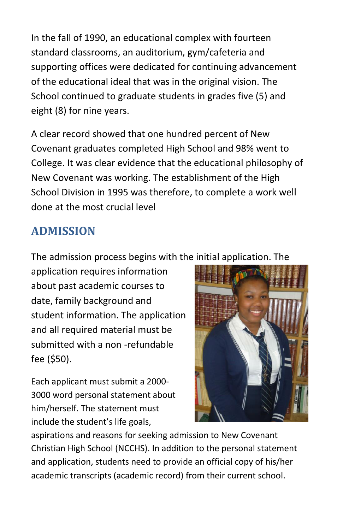In the fall of 1990, an educational complex with fourteen standard classrooms, an auditorium, gym/cafeteria and supporting offices were dedicated for continuing advancement of the educational ideal that was in the original vision. The School continued to graduate students in grades five (5) and eight (8) for nine years.

A clear record showed that one hundred percent of New Covenant graduates completed High School and 98% went to College. It was clear evidence that the educational philosophy of New Covenant was working. The establishment of the High School Division in 1995 was therefore, to complete a work well done at the most crucial level

### **ADMISSION**

The admission process begins with the initial application. The

application requires information about past academic courses to date, family background and student information. The application and all required material must be submitted with a non -refundable fee (\$50).

Each applicant must submit a 2000- 3000 word personal statement about him/herself. The statement must include the student's life goals,



aspirations and reasons for seeking admission to New Covenant Christian High School (NCCHS). In addition to the personal statement and application, students need to provide an official copy of his/her academic transcripts (academic record) from their current school.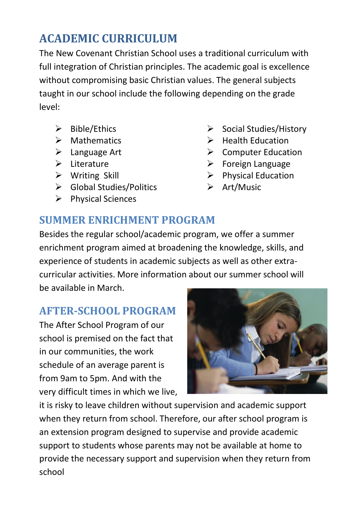# **ACADEMIC CURRICULUM**

The New Covenant Christian School uses a traditional curriculum with full integration of Christian principles. The academic goal is excellence without compromising basic Christian values. The general subjects taught in our school include the following depending on the grade level:

- $\triangleright$  Bible/Ethics
- $\triangleright$  Mathematics
- Language Art
- $\triangleright$  Literature
- $\triangleright$  Writing Skill
- Global Studies/Politics
- $\triangleright$  Physical Sciences
- $\triangleright$  Social Studies/History
- $\triangleright$  Health Education
- $\triangleright$  Computer Education
- $\triangleright$  Foreign Language
- $\triangleright$  Physical Education
- $\triangleright$  Art/Music

#### **SUMMER ENRICHMENT PROGRAM**

Besides the regular school/academic program, we offer a summer enrichment program aimed at broadening the knowledge, skills, and experience of students in academic subjects as well as other extracurricular activities. More information about our summer school will be available in March.

#### **AFTER-SCHOOL PROGRAM**

The After School Program of our school is premised on the fact that in our communities, the work schedule of an average parent is from 9am to 5pm. And with the very difficult times in which we live,



it is risky to leave children without supervision and academic support when they return from school. Therefore, our after school program is an extension program designed to supervise and provide academic support to students whose parents may not be available at home to provide the necessary support and supervision when they return from school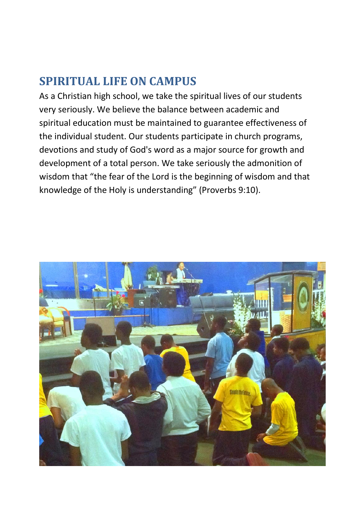### **SPIRITUAL LIFE ON CAMPUS**

As a Christian high school, we take the spiritual lives of our students very seriously. We believe the balance between academic and spiritual education must be maintained to guarantee effectiveness of the individual student. Our students participate in church programs, devotions and study of God's word as a major source for growth and development of a total person. We take seriously the admonition of wisdom that "the fear of the Lord is the beginning of wisdom and that knowledge of the Holy is understanding" (Proverbs 9:10).

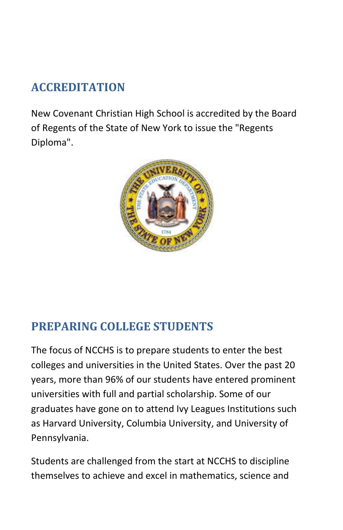# **ACCREDITATION**

New Covenant Christian High School is accredited by the Board of Regents of the State of New York to issue the "Regents Diploma".



### **PREPARING COLLEGE STUDENTS**

The focus of NCCHS is to prepare students to enter the best colleges and universities in the United States. Over the past 20 years, more than 96% of our students have entered prominent universities with full and partial scholarship. Some of our graduates have gone on to attend Ivy Leagues Institutions such as Harvard University, Columbia University, and University of Pennsylvania.

Students are challenged from the start at NCCHS to discipline themselves to achieve and excel in mathematics, science and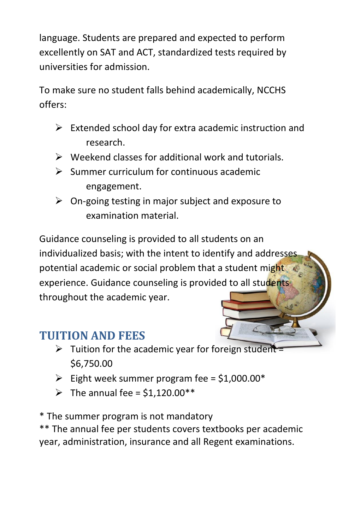language. Students are prepared and expected to perform excellently on SAT and ACT, standardized tests required by universities for admission.

To make sure no student falls behind academically, NCCHS offers:

- $\triangleright$  Extended school day for extra academic instruction and research.
- $\triangleright$  Weekend classes for additional work and tutorials.
- $\triangleright$  Summer curriculum for continuous academic engagement.
- On-going testing in major subject and exposure to examination material.

Guidance counseling is provided to all students on an individualized basis; with the intent to identify and addresses potential academic or social problem that a student might experience. Guidance counseling is provided to all students throughout the academic year.

### **TUITION AND FEES**

- $\triangleright$  Tuition for the academic year for foreign student = \$6,750.00
- Eight week summer program fee =  $$1,000.00*$
- $\triangleright$  The annual fee = \$1,120.00\*\*

\* The summer program is not mandatory

\*\* The annual fee per students covers textbooks per academic year, administration, insurance and all Regent examinations.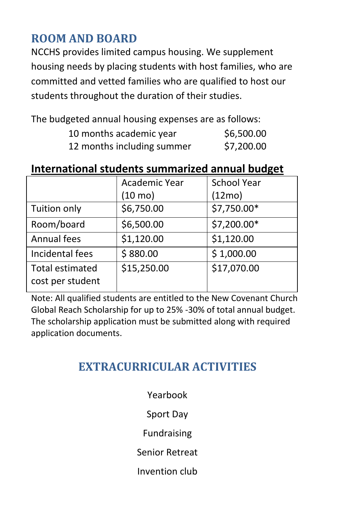### **ROOM AND BOARD**

NCCHS provides limited campus housing. We supplement housing needs by placing students with host families, who are committed and vetted families who are qualified to host our students throughout the duration of their studies.

The budgeted annual housing expenses are as follows:

| 10 months academic year    | \$6,500.00 |
|----------------------------|------------|
| 12 months including summer | \$7,200.00 |

#### **International students summarized annual budget**

|                                            | Academic Year | <b>School Year</b> |
|--------------------------------------------|---------------|--------------------|
|                                            | (10 mo)       | (12mo)             |
| Tuition only                               | \$6,750.00    | \$7,750.00*        |
| Room/board                                 | \$6,500.00    | \$7,200.00*        |
| Annual fees                                | \$1,120.00    | \$1,120.00         |
| Incidental fees                            | \$880.00      | \$1,000.00         |
| <b>Total estimated</b><br>cost per student | \$15,250.00   | \$17,070.00        |

Note: All qualified students are entitled to the New Covenant Church Global Reach Scholarship for up to 25% -30% of total annual budget. The scholarship application must be submitted along with required application documents.

### **EXTRACURRICULAR ACTIVITIES**

Yearbook Sport Day

Fundraising

Senior Retreat

Invention club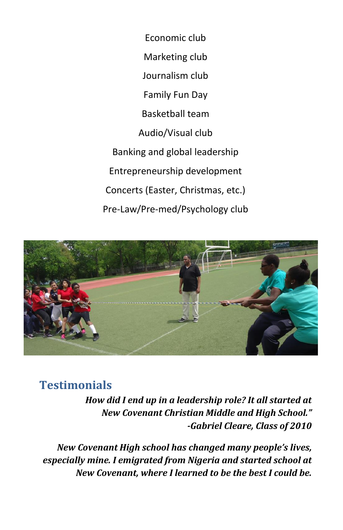Economic club Marketing club Journalism club Family Fun Day Basketball team Audio/Visual club Banking and global leadership Entrepreneurship development Concerts (Easter, Christmas, etc.) Pre-Law/Pre-med/Psychology club



#### **Testimonials**

*How did I end up in a leadership role? It all started at New Covenant Christian Middle and High School." -Gabriel Cleare, Class of 2010*

*New Covenant High school has changed many people's lives, especially mine. I emigrated from Nigeria and started school at New Covenant, where I learned to be the best I could be.*